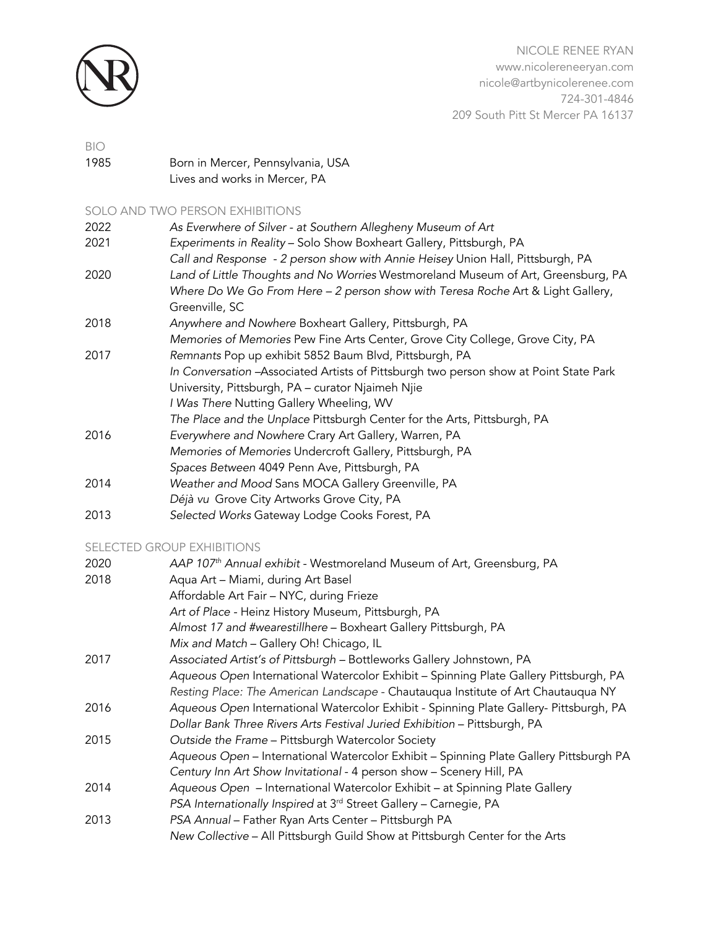

NICOLE RENEE RYAN www.nicolereneeryan.com nicole@artbynicolerenee.com 724-301-4846 209 South Pitt St Mercer PA 16137

# BIO 1985 Born in Mercer, Pennsylvania, USA Lives and works in Mercer, PA

SOLO AND TWO PERSON EXHIBITIONS

| 2022 | As Everwhere of Silver - at Southern Allegheny Museum of Art                           |
|------|----------------------------------------------------------------------------------------|
| 2021 | Experiments in Reality - Solo Show Boxheart Gallery, Pittsburgh, PA                    |
|      | Call and Response - 2 person show with Annie Heisey Union Hall, Pittsburgh, PA         |
| 2020 | Land of Little Thoughts and No Worries Westmoreland Museum of Art, Greensburg, PA      |
|      | Where Do We Go From Here - 2 person show with Teresa Roche Art & Light Gallery,        |
|      | Greenville, SC                                                                         |
| 2018 | Anywhere and Nowhere Boxheart Gallery, Pittsburgh, PA                                  |
|      | Memories of Memories Pew Fine Arts Center, Grove City College, Grove City, PA          |
| 2017 | Remnants Pop up exhibit 5852 Baum Blvd, Pittsburgh, PA                                 |
|      | In Conversation - Associated Artists of Pittsburgh two person show at Point State Park |
|      | University, Pittsburgh, PA - curator Njaimeh Njie                                      |
|      | I Was There Nutting Gallery Wheeling, WV                                               |
|      | The Place and the Unplace Pittsburgh Center for the Arts, Pittsburgh, PA               |
| 2016 | Everywhere and Nowhere Crary Art Gallery, Warren, PA                                   |
|      | Memories of Memories Undercroft Gallery, Pittsburgh, PA                                |
|      | Spaces Between 4049 Penn Ave, Pittsburgh, PA                                           |
| 2014 | Weather and Mood Sans MOCA Gallery Greenville, PA                                      |
|      | Déjà vu Grove City Artworks Grove City, PA                                             |
| 2013 | Selected Works Gateway Lodge Cooks Forest, PA                                          |

# SELECTED GROUP EXHIBITIONS

| 2020 | AAP 107 <sup>th</sup> Annual exhibit - Westmoreland Museum of Art, Greensburg, PA      |
|------|----------------------------------------------------------------------------------------|
| 2018 | Aqua Art - Miami, during Art Basel                                                     |
|      | Affordable Art Fair - NYC, during Frieze                                               |
|      | Art of Place - Heinz History Museum, Pittsburgh, PA                                    |
|      | Almost 17 and #wearestillhere - Boxheart Gallery Pittsburgh, PA                        |
|      | Mix and Match - Gallery Oh! Chicago, IL                                                |
| 2017 | Associated Artist's of Pittsburgh - Bottleworks Gallery Johnstown, PA                  |
|      | Aqueous Open International Watercolor Exhibit - Spinning Plate Gallery Pittsburgh, PA  |
|      | Resting Place: The American Landscape - Chautauqua Institute of Art Chautauqua NY      |
| 2016 | Aqueous Open International Watercolor Exhibit - Spinning Plate Gallery- Pittsburgh, PA |
|      | Dollar Bank Three Rivers Arts Festival Juried Exhibition - Pittsburgh, PA              |
| 2015 | Outside the Frame - Pittsburgh Watercolor Society                                      |
|      | Aqueous Open - International Watercolor Exhibit - Spinning Plate Gallery Pittsburgh PA |
|      | Century Inn Art Show Invitational - 4 person show - Scenery Hill, PA                   |
| 2014 | Aqueous Open - International Watercolor Exhibit - at Spinning Plate Gallery            |
|      | PSA Internationally Inspired at 3rd Street Gallery - Carnegie, PA                      |
| 2013 | PSA Annual - Father Ryan Arts Center - Pittsburgh PA                                   |
|      | New Collective - All Pittsburgh Guild Show at Pittsburgh Center for the Arts           |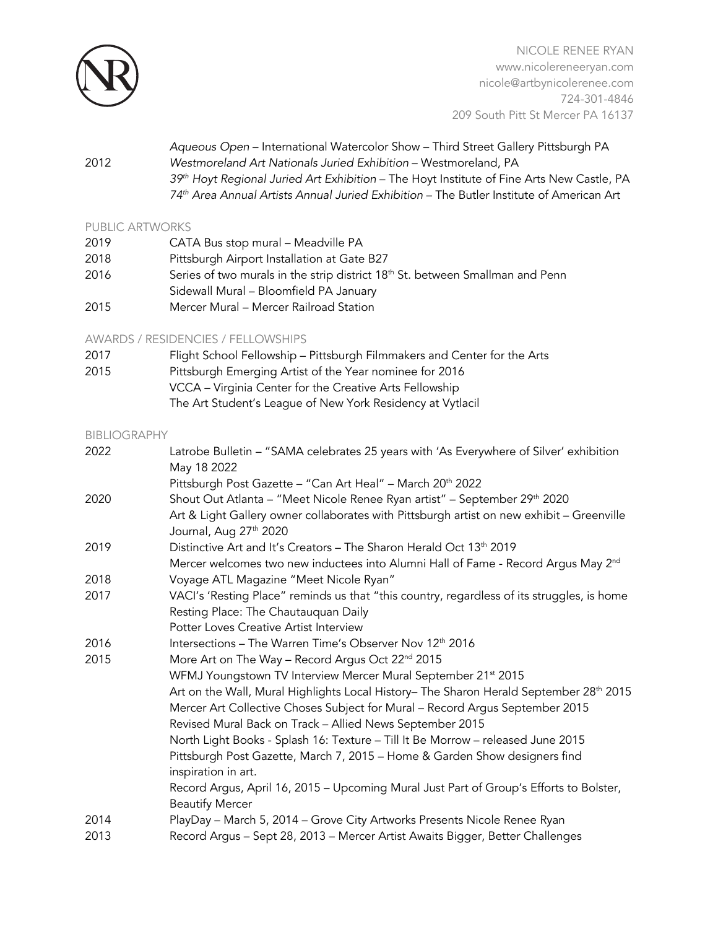

NICOLE RENEE RYAN www.nicolereneeryan.com nicole@artbynicolerenee.com 724-301-4846 209 South Pitt St Mercer PA 16137

*Aqueous Open* – International Watercolor Show – Third Street Gallery Pittsburgh PA 2012 *Westmoreland Art Nationals Juried Exhibition* – Westmoreland, PA *39th Hoyt Regional Juried Art Exhibition* – The Hoyt Institute of Fine Arts New Castle, PA *74th Area Annual Artists Annual Juried Exhibition* – The Butler Institute of American Art

#### PUBLIC ARTWORKS

| 2019 | CATA Bus stop mural - Meadville PA                                                        |
|------|-------------------------------------------------------------------------------------------|
| 2018 | Pittsburgh Airport Installation at Gate B27                                               |
| 2016 | Series of two murals in the strip district 18 <sup>th</sup> St. between Smallman and Penn |
|      | Sidewall Mural - Bloomfield PA January                                                    |
| 2015 | Mercer Mural - Mercer Railroad Station                                                    |

## AWARDS / RESIDENCIES / FELLOWSHIPS

| Flight School Fellowship - Pittsburgh Filmmakers and Center for the Arts |
|--------------------------------------------------------------------------|
| Pittsburgh Emerging Artist of the Year nominee for 2016                  |
| VCCA - Virginia Center for the Creative Arts Fellowship                  |
| The Art Student's League of New York Residency at Vytlacil               |
|                                                                          |

#### BIBLIOGRAPHY

| 2022 | Latrobe Bulletin - "SAMA celebrates 25 years with 'As Everywhere of Silver' exhibition<br>May 18 2022                           |
|------|---------------------------------------------------------------------------------------------------------------------------------|
|      | Pittsburgh Post Gazette - "Can Art Heal" - March 20 <sup>th</sup> 2022                                                          |
| 2020 | Shout Out Atlanta – "Meet Nicole Renee Ryan artist" – September 29 <sup>th</sup> 2020                                           |
|      | Art & Light Gallery owner collaborates with Pittsburgh artist on new exhibit - Greenville<br>Journal, Aug 27 <sup>th</sup> 2020 |
| 2019 | Distinctive Art and It's Creators - The Sharon Herald Oct 13 <sup>th</sup> 2019                                                 |
|      | Mercer welcomes two new inductees into Alumni Hall of Fame - Record Argus May 2 <sup>nd</sup>                                   |
| 2018 | Voyage ATL Magazine "Meet Nicole Ryan"                                                                                          |
| 2017 | VACI's 'Resting Place" reminds us that "this country, regardless of its struggles, is home                                      |
|      | Resting Place: The Chautauquan Daily                                                                                            |
|      | Potter Loves Creative Artist Interview                                                                                          |
| 2016 | Intersections - The Warren Time's Observer Nov 12th 2016                                                                        |
| 2015 | More Art on The Way - Record Argus Oct 22 <sup>nd</sup> 2015                                                                    |
|      | WFMJ Youngstown TV Interview Mercer Mural September 21st 2015                                                                   |
|      | Art on the Wall, Mural Highlights Local History- The Sharon Herald September 28 <sup>th</sup> 2015                              |
|      | Mercer Art Collective Choses Subject for Mural - Record Argus September 2015                                                    |
|      | Revised Mural Back on Track - Allied News September 2015                                                                        |
|      | North Light Books - Splash 16: Texture - Till It Be Morrow - released June 2015                                                 |
|      | Pittsburgh Post Gazette, March 7, 2015 - Home & Garden Show designers find                                                      |
|      | inspiration in art.                                                                                                             |
|      | Record Argus, April 16, 2015 - Upcoming Mural Just Part of Group's Efforts to Bolster,                                          |
|      | <b>Beautify Mercer</b>                                                                                                          |
| 2014 | PlayDay - March 5, 2014 - Grove City Artworks Presents Nicole Renee Ryan                                                        |
| 2013 | Record Argus - Sept 28, 2013 - Mercer Artist Awaits Bigger, Better Challenges                                                   |